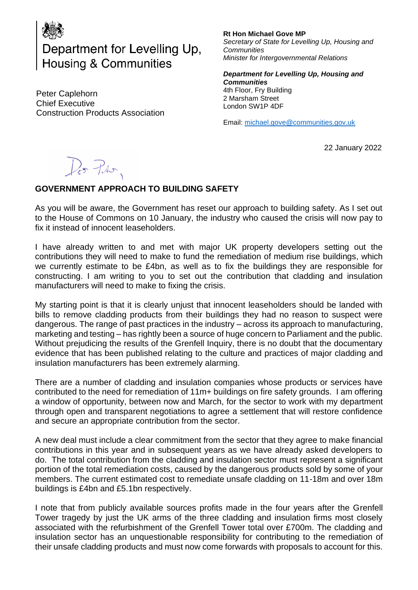

Department for Levelling Up, Housing & Communities

Peter Caplehorn Chief Executive Construction Products Association **Rt Hon Michael Gove MP** *Secretary of State for Levelling Up, Housing and Communities Minister for Intergovernmental Relations*

*Department for Levelling Up, Housing and Communities*  4th Floor, Fry Building 2 Marsham Street London SW1P 4DF

Email: [michael.gove@communities.gov.uk](mailto:michael.gove@communities.gov.uk)

22 January 2022

Do Pro.

## **GOVERNMENT APPROACH TO BUILDING SAFETY**

As you will be aware, the Government has reset our approach to building safety. As I set out to the House of Commons on 10 January, the industry who caused the crisis will now pay to fix it instead of innocent leaseholders.

I have already written to and met with major UK property developers setting out the contributions they will need to make to fund the remediation of medium rise buildings, which we currently estimate to be £4bn, as well as to fix the buildings they are responsible for constructing. I am writing to you to set out the contribution that cladding and insulation manufacturers will need to make to fixing the crisis.

My starting point is that it is clearly unjust that innocent leaseholders should be landed with bills to remove cladding products from their buildings they had no reason to suspect were dangerous. The range of past practices in the industry – across its approach to manufacturing, marketing and testing – has rightly been a source of huge concern to Parliament and the public. Without prejudicing the results of the Grenfell Inquiry, there is no doubt that the documentary evidence that has been published relating to the culture and practices of major cladding and insulation manufacturers has been extremely alarming.

There are a number of cladding and insulation companies whose products or services have contributed to the need for remediation of 11m+ buildings on fire safety grounds. I am offering a window of opportunity, between now and March, for the sector to work with my department through open and transparent negotiations to agree a settlement that will restore confidence and secure an appropriate contribution from the sector.

A new deal must include a clear commitment from the sector that they agree to make financial contributions in this year and in subsequent years as we have already asked developers to do. The total contribution from the cladding and insulation sector must represent a significant portion of the total remediation costs, caused by the dangerous products sold by some of your members. The current estimated cost to remediate unsafe cladding on 11-18m and over 18m buildings is £4bn and £5.1bn respectively.

I note that from publicly available sources profits made in the four years after the Grenfell Tower tragedy by just the UK arms of the three cladding and insulation firms most closely associated with the refurbishment of the Grenfell Tower total over £700m. The cladding and insulation sector has an unquestionable responsibility for contributing to the remediation of their unsafe cladding products and must now come forwards with proposals to account for this.